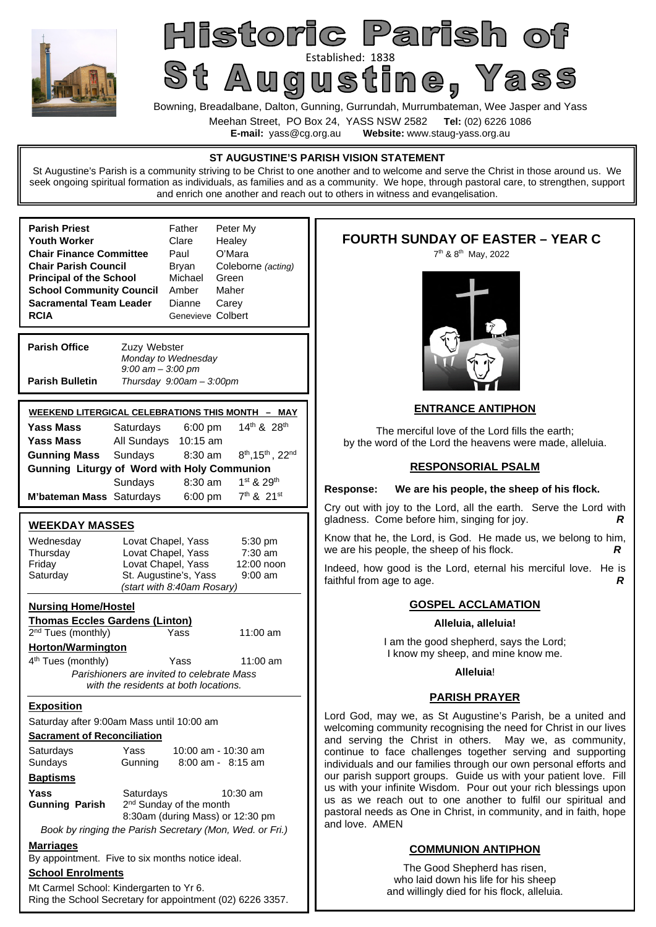

# Historic Parish of St Augustine 1838

Bowning, Breadalbane, Dalton, Gunning, Gurrundah, Murrumbateman, Wee Jasper and Yass

Meehan Street, PO Box 24, YASS NSW 2582 **Tel:** (02) 6226 1086

**E-mail:** yass@cg.org.au **Website:** www.staug-yass.org.au

# **ST AUGUSTINE'S PARISH VISION STATEMENT**

St Augustine's Parish is a community striving to be Christ to one another and to welcome and serve the Christ in those around us. We seek ongoing spiritual formation as individuals, as families and as a community. We hope, through pastoral care, to strengthen, support and enrich one another and reach out to others in witness and evangelisation.

| <b>Parish Priest</b>            | Father            | Peter My           |
|---------------------------------|-------------------|--------------------|
| Youth Worker                    | Clare             | Healey             |
| <b>Chair Finance Committee</b>  | Paul              | O'Mara             |
| <b>Chair Parish Council</b>     | Bryan             | Coleborne (acting) |
| <b>Principal of the School</b>  | Michael           | Green              |
| <b>School Community Council</b> | Amber             | Maher              |
| Sacramental Team Leader         | Dianne            | Carey              |
| <b>RCIA</b>                     | Genevieve Colbert |                    |
|                                 |                   |                    |

**Parish Office Zuzy Webster** *Monday to Wednesday 9:00 am – 3:00 pm*  **Parish Bulletin** *Thursday 9:00am – 3:00pm* 

| <b>WEEKEND LITERGICAL CELEBRATIONS THIS MONTH</b><br>– MAY |                      |           |                                                |  |  |  |
|------------------------------------------------------------|----------------------|-----------|------------------------------------------------|--|--|--|
| <b>Yass Mass</b>                                           | Saturdays            | $6:00$ pm | 14 <sup>th</sup> & 28 <sup>th</sup>            |  |  |  |
| <b>Yass Mass</b>                                           | All Sundays 10:15 am |           |                                                |  |  |  |
| <b>Gunning Mass</b>                                        | Sundays              | $8:30$ am | $8^{th}$ , 15 <sup>th</sup> , 22 <sup>nd</sup> |  |  |  |
| <b>Gunning Liturgy of Word with Holy Communion</b>         |                      |           |                                                |  |  |  |
|                                                            | Sundays              | $8:30$ am | $1st$ & 29 <sup>th</sup>                       |  |  |  |
| <b>M'bateman Mass</b> Saturdays                            |                      | 6:00 pm   | 7th & 21st                                     |  |  |  |

## **WEEKDAY MASSES**

| <u>ULLIVAT MAVVLV</u>                                    |                            |                                            |            |  |  |  |
|----------------------------------------------------------|----------------------------|--------------------------------------------|------------|--|--|--|
| Wednesday                                                | Lovat Chapel, Yass         |                                            | $5:30$ pm  |  |  |  |
| Thursday                                                 | Lovat Chapel, Yass         |                                            | $7:30$ am  |  |  |  |
| Friday                                                   | Lovat Chapel, Yass         |                                            | 12:00 noon |  |  |  |
| Saturday                                                 |                            | St. Augustine's, Yass                      | $9:00$ am  |  |  |  |
|                                                          | (start with 8:40am Rosary) |                                            |            |  |  |  |
| <b>Nursing Home/Hostel</b>                               |                            |                                            |            |  |  |  |
| <b>Thomas Eccles Gardens (Linton)</b>                    |                            |                                            |            |  |  |  |
| 2 <sup>nd</sup> Tues (monthly)                           |                            | Yass                                       | $11:00$ am |  |  |  |
| <b>Horton/Warmington</b>                                 |                            |                                            |            |  |  |  |
| 4 <sup>th</sup> Tues (monthly)                           |                            | Yass                                       | 11:00 am   |  |  |  |
|                                                          |                            | Parishioners are invited to celebrate Mass |            |  |  |  |
|                                                          |                            | with the residents at both locations.      |            |  |  |  |
| <b>Exposition</b>                                        |                            |                                            |            |  |  |  |
| Saturday after 9:00am Mass until 10:00 am                |                            |                                            |            |  |  |  |
| <b>Sacrament of Reconciliation</b>                       |                            |                                            |            |  |  |  |
| Saturdays                                                | Yass                       | 10:00 am - 10:30 am                        |            |  |  |  |
| Sundays                                                  | Gunning                    | $8:00$ am - $8:15$ am                      |            |  |  |  |
| <u>Baptisms</u>                                          |                            |                                            |            |  |  |  |
| Yass                                                     | Saturdays                  |                                            | $10:30$ am |  |  |  |
| <b>Gunning Parish</b>                                    |                            | 2 <sup>nd</sup> Sunday of the month        |            |  |  |  |
|                                                          |                            | 8:30am (during Mass) or 12:30 pm           |            |  |  |  |
| Book by ringing the Parish Secretary (Mon, Wed. or Fri.) |                            |                                            |            |  |  |  |
|                                                          |                            |                                            |            |  |  |  |
| <b>Marriages</b>                                         |                            |                                            |            |  |  |  |
| By appointment. Five to six months notice ideal.         |                            |                                            |            |  |  |  |
| <b>School Enrolments</b>                                 |                            |                                            |            |  |  |  |
|                                                          |                            |                                            |            |  |  |  |

Mt Carmel School: Kindergarten to Yr 6. Ring the School Secretary for appointment (02) 6226 3357.

# **FOURTH SUNDAY OF EASTER – YEAR C**

7 th & 8th May, 2022



## **ENTRANCE ANTIPHON**

The merciful love of the Lord fills the earth; by the word of the Lord the heavens were made, alleluia.

#### **RESPONSORIAL PSALM**

#### **Response: We are his people, the sheep of his flock.**

Cry out with joy to the Lord, all the earth. Serve the Lord with gladness. Come before him, singing for joy. *R*

Know that he, the Lord, is God. He made us, we belong to him, we are his people, the sheep of his flock. **R** 

Indeed, how good is the Lord, eternal his merciful love. He is faithful from age to age. *R*

#### **GOSPEL ACCLAMATION**

#### **Alleluia, alleluia!**

I am the good shepherd, says the Lord; I know my sheep, and mine know me.

#### **Alleluia**!

#### **PARISH PRAYER**

Lord God, may we, as St Augustine's Parish, be a united and welcoming community recognising the need for Christ in our lives and serving the Christ in others. May we, as community, continue to face challenges together serving and supporting individuals and our families through our own personal efforts and our parish support groups. Guide us with your patient love. Fill us with your infinite Wisdom. Pour out your rich blessings upon us as we reach out to one another to fulfil our spiritual and pastoral needs as One in Christ, in community, and in faith, hope and love. AMEN

## **COMMUNION ANTIPHON**

The Good Shepherd has risen, who laid down his life for his sheep and willingly died for his flock, alleluia.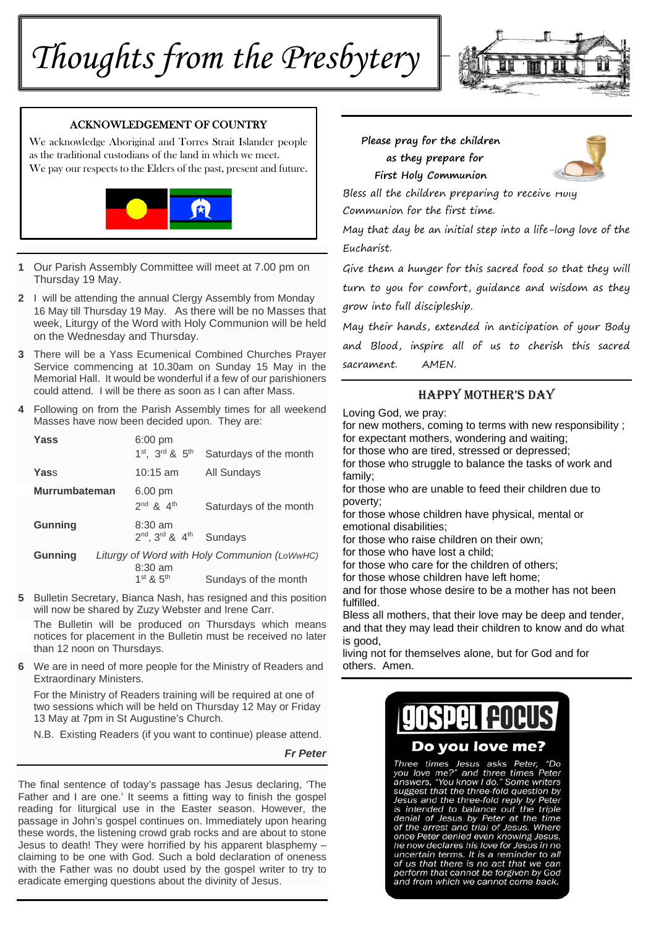# *Thoughts from the Presbytery*



#### ACKNOWLEDGEMENT OF COUNTRY

We acknowledge Aboriginal and Torres Strait Islander people as the traditional custodians of the land in which we meet. We pay our respects to the Elders of the past, present and future.



- **1** Our Parish Assembly Committee will meet at 7.00 pm on Thursday 19 May.
- **2** I will be attending the annual Clergy Assembly from Monday 16 May till Thursday 19 May. As there will be no Masses that week, Liturgy of the Word with Holy Communion will be held on the Wednesday and Thursday.
- **3** There will be a Yass Ecumenical Combined Churches Prayer Service commencing at 10.30am on Sunday 15 May in the Memorial Hall. It would be wonderful if a few of our parishioners could attend. I will be there as soon as I can after Mass.
- **4** Following on from the Parish Assembly times for all weekend Masses have now been decided upon. They are:

| Yass                 | $6:00 \text{ pm}$   |                                              |
|----------------------|---------------------|----------------------------------------------|
|                      | 1st. 3rd & 5th      | Saturdays of the month                       |
| Yass                 | $10:15$ am          | <b>All Sundays</b>                           |
| <b>Murrumbateman</b> | 6.00 pm             |                                              |
|                      | $2^{nd}$ & $4^{th}$ | Saturdays of the month                       |
| <b>Gunning</b>       | $8:30 \text{ am}$   |                                              |
|                      | 2nd, 3rd & 4th      | Sundays                                      |
| <b>Gunning</b>       |                     | Liturgy of Word with Holy Communion (LoWwHC) |
|                      | $8:30$ am           |                                              |
|                      | $1st$ & $5th$       | Sundays of the month                         |

**5** Bulletin Secretary, Bianca Nash, has resigned and this position will now be shared by Zuzy Webster and Irene Carr.

The Bulletin will be produced on Thursdays which means notices for placement in the Bulletin must be received no later than 12 noon on Thursdays.

**6** We are in need of more people for the Ministry of Readers and Extraordinary Ministers.

 For the Ministry of Readers training will be required at one of two sessions which will be held on Thursday 12 May or Friday 13 May at 7pm in St Augustine's Church.

N.B. Existing Readers (if you want to continue) please attend.

*Fr Peter* 

The final sentence of today's passage has Jesus declaring, 'The Father and I are one.' It seems a fitting way to finish the gospel reading for liturgical use in the Easter season. However, the passage in John's gospel continues on. Immediately upon hearing these words, the listening crowd grab rocks and are about to stone Jesus to death! They were horrified by his apparent blasphemy – claiming to be one with God. Such a bold declaration of oneness with the Father was no doubt used by the gospel writer to try to eradicate emerging questions about the divinity of Jesus.

 **Please pray for the children as they prepare for** 

 **First Holy Communion** 



Bless all the children preparing to receive Holy Communion for the first time.

May that day be an initial step into a life-long love of the Eucharist.

Give them a hunger for this sacred food so that they will turn to you for comfort, guidance and wisdom as they grow into full discipleship.

May their hands, extended in anticipation of your Body and Blood, inspire all of us to cherish this sacred sacrament. AMEN.

### HAPPY MOTHER'S DAY

Loving God, we pray:

for new mothers, coming to terms with new responsibility ; for expectant mothers, wondering and waiting; for those who are tired, stressed or depressed; for those who struggle to balance the tasks of work and family; for those who are unable to feed their children due to poverty; for those whose children have physical, mental or emotional disabilities; for those who raise children on their own; for those who have lost a child; for those who care for the children of others; for those whose children have left home; and for those whose desire to be a mother has not been fulfilled. Bless all mothers, that their love may be deep and tender, and that they may lead their children to know and do what is good,

living not for themselves alone, but for God and for others. Amen.

# **gospel <del>p</del>o**

## Do you love me?

Three times Jesus asks Peter, "Do you love me?" and three times Peter<br>answers, "You know I do." Some writers suggest that the three-fold question by<br>Jesus and the three-fold reply by Peter<br>is intended to balance out the triple denial of Jesus by Peter at the time<br>of the arrest and trial of Jesus. Where<br>once Peter denied even knowing Jesus, he now declares his love for Jesus in no uncertain terms. It is a reminder to all<br>of us that there is no act that we can perform that cannot be forgiven by God and from which we cannot come back.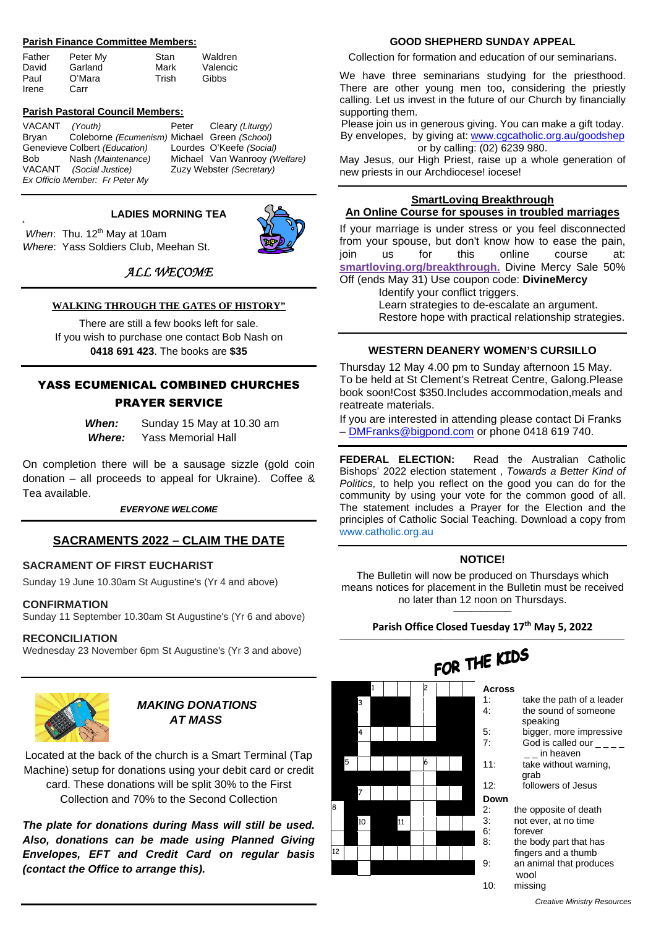#### **Parish Finance Committee Members:**

| Father | Peter My | Stan  | Waldren  |
|--------|----------|-------|----------|
| David  | Garland  | Mark  | Valencic |
| Paul   | O'Mara   | Trish | Gibbs    |
| Irene  | Carr     |       |          |

#### **Parish Pastoral Council Members:**

VACANT *(Youth)* Peter Cleary *(Liturgy)* Bryan Coleborne *(Ecumenism)* Michael Green *(School)* Genevieve Colbert *(Education)* Lourdes O'Keefe *(Social)* Bob Nash *(Maintenance)* Michael Van Wanrooy *(Welfare)*  VACANT *(Social Justice)* Zuzy Webster *(Secretary) Ex Officio Member: Fr Peter My* 

#### **LADIES MORNING TEA**

When: Thu. 12<sup>th</sup> May at 10am *Where*: Yass Soldiers Club, Meehan St.

**5** 

## *ALL WECOME*

#### **WALKING THROUGH THE GATES OF HISTORY"**

There are still a few books left for sale. If you wish to purchase one contact Bob Nash on **0418 691 423**. The books are **\$35**

#### YASS ECUMENICAL COMBINED CHURCHES PRAYER SERVICE

*When:* Sunday 15 May at 10.30 am  *Where:* Yass Memorial Hall

On completion there will be a sausage sizzle (gold coin donation – all proceeds to appeal for Ukraine). Coffee & Tea available.

*EVERYONE WELCOME* 

#### **SACRAMENTS 2022 – CLAIM THE DATE**

#### **SACRAMENT OF FIRST EUCHARIST**

Sunday 19 June 10.30am St Augustine's (Yr 4 and above)

#### **CONFIRMATION**

Sunday 11 September 10.30am St Augustine's (Yr 6 and above)

#### **RECONCILIATION**

Wednesday 23 November 6pm St Augustine's (Yr 3 and above)



## *MAKING DONATIONS AT MASS*

Located at the back of the church is a Smart Terminal (Tap Machine) setup for donations using your debit card or credit card. These donations will be split 30% to the First Collection and 70% to the Second Collection

*The plate for donations during Mass will still be used. Also, donations can be made using Planned Giving Envelopes, EFT and Credit Card on regular basis (contact the Office to arrange this).* 

#### **GOOD SHEPHERD SUNDAY APPEAL**

Collection for formation and education of our seminarians.

We have three seminarians studying for the priesthood. There are other young men too, considering the priestly calling. Let us invest in the future of our Church by financially supporting them.

Please join us in generous giving. You can make a gift today. By envelopes, by giving at: www.cgcatholic.org.au/goodshep or by calling: (02) 6239 980.

May Jesus, our High Priest, raise up a whole generation of new priests in our Archdiocese! iocese!

#### **SmartLoving Breakthrough An Online Course for spouses in troubled marriages**

If your marriage is under stress or you feel disconnected from your spouse, but don't know how to ease the pain, join us for this online course at: **smartloving.org/breakthrough.** Divine Mercy Sale 50% Off (ends May 31) Use coupon code: **DivineMercy** 

Identify your conflict triggers.

Learn strategies to de-escalate an argument. Restore hope with practical relationship strategies.

#### **WESTERN DEANERY WOMEN'S CURSILLO**

Thursday 12 May 4.00 pm to Sunday afternoon 15 May. To be held at St Clement's Retreat Centre, Galong.Please book soon!Cost \$350.Includes accommodation,meals and reatreate materials.

If you are interested in attending please contact Di Franks – DMFranks@bigpond.com or phone 0418 619 740.

**FEDERAL ELECTION:** Read the Australian Catholic Bishops' 2022 election statement , *Towards a Better Kind of Politics,* to help you reflect on the good you can do for the community by using your vote for the common good of all. The statement includes a Prayer for the Election and the principles of Catholic Social Teaching. Download a copy from www.catholic.org.au

#### **NOTICE!**

The Bulletin will now be produced on Thursdays which means notices for placement in the Bulletin must be received no later than 12 noon on Thursdays.  $\frac{1}{2}$  ,  $\frac{1}{2}$  ,  $\frac{1}{2}$  ,  $\frac{1}{2}$  ,  $\frac{1}{2}$  ,  $\frac{1}{2}$  ,  $\frac{1}{2}$  ,  $\frac{1}{2}$  ,  $\frac{1}{2}$  ,  $\frac{1}{2}$ 

#### **Parish Office Closed Tuesday 17th May 5, 2022**  \_\_\_\_\_\_\_\_\_\_\_\_\_\_\_\_\_\_\_\_\_\_\_\_\_\_\_\_\_\_\_\_\_\_\_\_\_\_\_\_\_\_\_\_\_\_\_\_\_\_\_\_\_\_\_\_\_\_\_\_\_\_\_\_\_\_\_\_\_\_\_\_\_\_\_\_\_\_\_\_\_\_\_\_\_\_\_\_\_\_\_\_\_

|    |   |    |   |    |   |  | FOR INC       |              |
|----|---|----|---|----|---|--|---------------|--------------|
|    |   |    | 1 |    | 2 |  | <b>Across</b> |              |
|    |   | 3  |   |    |   |  | 1:            | take the p   |
|    |   |    |   |    |   |  | 4:            | the sound    |
|    |   |    |   |    |   |  |               | speaking     |
|    |   | 4  |   |    |   |  | 5:            | bigger, m    |
|    |   |    |   |    |   |  | 7:            | God is ca    |
|    |   |    |   |    |   |  |               | in he        |
|    | 5 |    |   |    | 6 |  | 11:           | take with    |
|    |   |    |   |    |   |  |               | grab         |
|    |   | 7  |   |    |   |  | 12:           | followers    |
|    |   |    |   |    |   |  | Down          |              |
| 8  |   |    |   |    |   |  | 2:            | the opposite |
|    |   | 10 |   | 11 |   |  | 3:            | not ever, at |
|    |   |    |   |    |   |  | 6:            | forever      |
|    |   |    |   |    |   |  | 8:            | the body pa  |
| 12 |   |    |   |    |   |  |               | fingers and  |
|    |   |    |   |    |   |  | 9:            | an animal tl |
|    |   |    |   |    |   |  |               | wool         |

# $\sim$   $\sim$   $\mu$  KIDS

| 1: | take the path of a leader |
|----|---------------------------|
| 4: | the sound of someone      |
|    | speaking                  |
|    |                           |

- more impressive called our  $$ heaven
- thout warning,
	- 12: followers of Jesus
- site of death at no time
- 
- part that has
- nd a thumb
- al that produces
- 10: missing